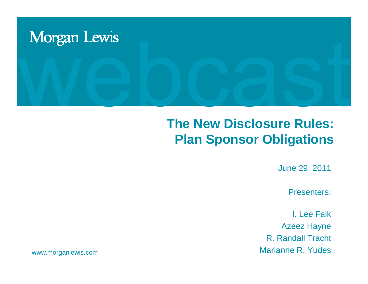

### **The New Disclosure Rules: Plan Sponsor Obligations**

June 29, 2011

Presenters:

I. Lee FalkAzeez Hayne R. Randall Tracht Marianne R. Yudes

www.morganlewis.com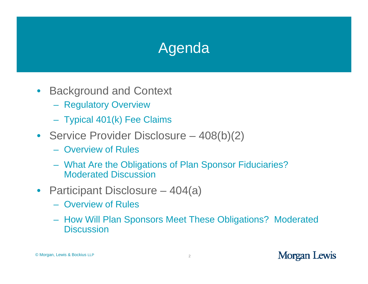# Agenda

- $\bullet$ **Background and Context** 
	- Regulatory Overview
	- Typical 401(k) Fee Claims
- Service Provider Disclosure 408(b)(2)
	- Overview of Rules
	- What Are the Obligations of Plan Sponsor Fiduciaries? Moderated Discussion
- Participant Disclosure 404(a)
	- Overview of Rules
	- How Will Plan Sponsors Meet These Obligations? Moderated **Discussion**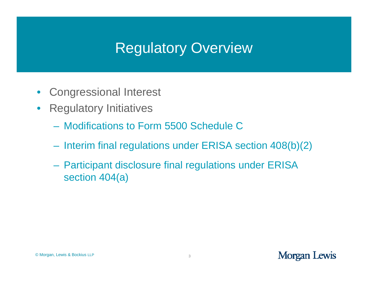# Regulatory Overview

- $\bullet$ • Congressional Interest
- Regulatory Initiatives
	- Modifications to Form 5500 Schedule C
	- Interim final regulations under ERISA section 408(b)(2)
	- $\mathcal{L}_{\mathcal{A}}$  Participant disclosure final regulations under ERISA section 404(a)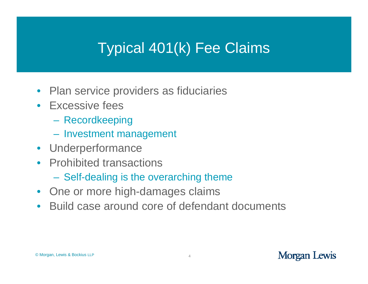# Typical 401(k) Fee Claims

- Plan service providers as fiduciaries
- Excessive fees
	- Recordkeeping
	- –Investment management
- Underperformance
- Prohibited transactions
	- Self-dealing is the overarching theme
- One or more hi gh-dama ges claims
- Build case around core of defendant documents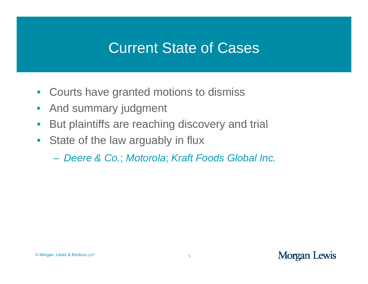### Current State of Cases

- $\bullet$ • Courts have granted motions to dismiss
- $\bullet$ And summary judgment
- $\bullet$ But plaintiffs are reaching discovery and trial
- State of the law arguably in flux
	- *Deere & Co Co.*; *Motorola* ; *Kraft Foods Global Inc Global Inc.*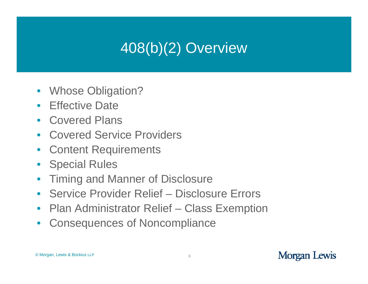# 408(b)(2) Overview )

- $\bullet$ • Whose Obligation?
- Effective Date
- $\bullet$  Covered Plansthe contract of the contract of the contract of the contract of the contract of the contract of the contract of
- Covered Service Providers
- $\bullet$ Content Requirements
- Special Rules
- $\bullet$ Timing and Manner of Disclosure
- Service Provider Relief Disclosure Errors
- $\bullet$ Plan Administrator Relief – Class Exemption
- $\bullet$ Consequences of Noncompliance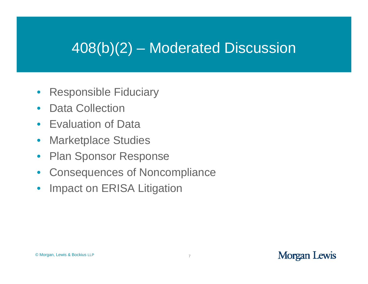# 408(b)(2) – Moderated Discussion

- $\bullet$ **Responsible Fiduciary**
- $\bullet$ Data Collection
- $\bullet$ Evaluation of Data
- $\bullet$ Marketplace Studies
- $\bullet$ Plan Sponsor Response
- $\bullet$ Consequences of Noncompliance
- $\bullet$ Impact on ERISA Litigation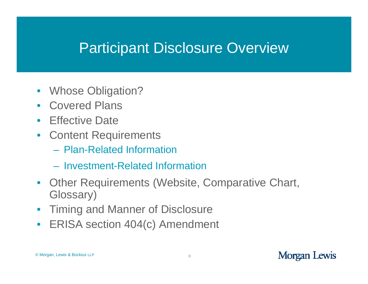### Participant Disclosure Overview

- $\bullet$ • Whose Obligation?
- Covered Plans
- $\bullet$ Effective Date
- Content Requirements
	- Plan-Related Information
	- Investment-Related Information
- Other Requirements (Website, Comparative Chart, Glossary)
- $\bullet$ Timing and Manner of Disclosure
- $\bullet$ ERISA section 404(c) Amendment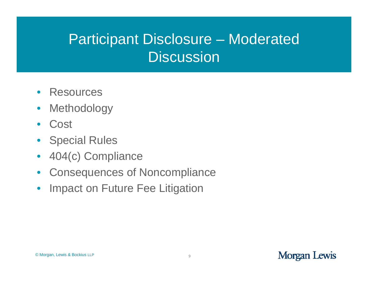# Participant Disclosure – Moderated Discussion

- $\bullet$ **Resources**
- $\bullet$ Methodology
- $\bullet$ **Cost**
- $\bullet$ Special Rules
- $\bullet$ 404(c) Compliance 404(c)
- $\bullet$ Consequences of Noncompliance
- $\bullet$ Impact on Future Fee Litigation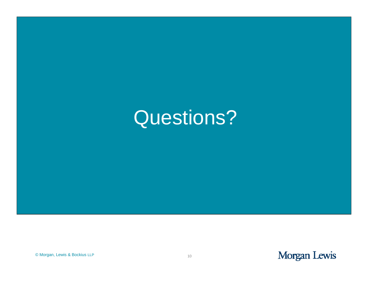# Questions?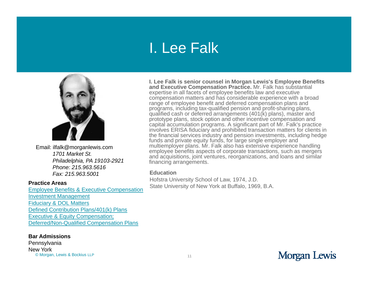### I. Lee Falk



Email: ilfalk@morganlewis.com *1701 Market St.Philadelphia, 19103-2921 Phone: 215.963.5616 Fax: 215.963.5001* 

### **Practice Areas**

Employee Benefits & Executive Compensation Investment Management Fiduciary & DOL Matters Defined Contribution Plans/401(k) Plans Executive & Equity Compensation; Deferred/Non-Qualified Compensation Plans

### **Bar Admissions**

© Morgan, Lewis & Bockius LLP <sup>11</sup>**Pennsylvania** New York

**I. Lee Falk is senior counsel in Morgan Lewis's Employee Benefits and Executive Compensation Practice.** Mr. Falk has substantial expertise in all facets of employee benefits law and executive compensation matters and has considerable experience with a broad range of employee benefit and deferred compensation plans and programs, including tax-qualified pension and profit-sharing plans, qualified cash or deferred arrangements (401(k) plans), master and prototype plans, stock option and other incentive compensation and capital accumulation programs. A significant part of Mr. Falk's practice involves ERISA fiduciary and prohibited transaction matters for clients in the financial services industry and pension investments, including hedge funds and private equity funds, for large single employer and multiemployer plans. Mr. Falk also has extensive experience handling employee benefits aspects of corporate transactions, such as mergers and acquisitions, joint ventures, reorganizations, and loans and similar *financing arrangements.* 

### **Education**

Hofstra University School of Law, 1974, J.D. State University of New York at Buffalo, 1969, B.A.

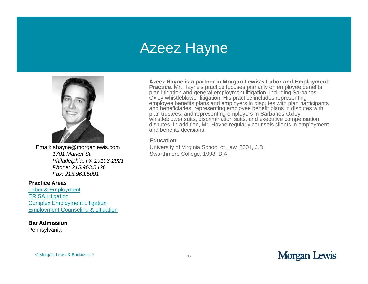### Azeez Hayne



Email: ahayne@morganlewis.com *1701 Market St.Philadelphia PA 19103 Philadelphia, 19103-2921 Phone: 215.963.5426 Fax: 215.963.5001* 

#### **Practice Areas**

Labor & Employment ERISA Litigation Complex Employment Litigation Employment Counseling & Litigation

### **Bar Admission**

**Pennsylvania** 

**Azeez Hayne is a partner in Morgan Lewis's Labor and Employment Practice.** Mr. Hayne's practice focuses primarily on employee benefits plan litigation and general employment litigation, including Sarbanes-Oxley whistleblower litigation. His practice includes representing employee benefits plans and employers in disputes with plan participants and beneficiaries, representing employee benefit plans in disputes with plan trustees, and representing employers in Sarbanes-Oxley whistleblower suits, discrimination suits, and executive compensation disputes. In addition, Mr. Hayne regularly counsels clients in employment and benefits decisions.

### **Education**

University of Virginia School of Law, 2001, J.D. Swarthmore College, 1998, B.A.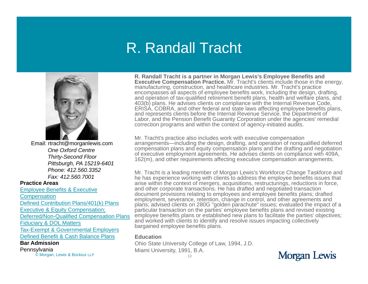### R. Randall Tracht



Email: rtracht@morganlewis.com *One Oxford CentreThirty-Second Floor Pittsburgh, PA 15219-6401 Phone: 412.560.3352 Fax: 412.560.7001* 

#### **Practice Areas**

Employee Benefits & Executive

Defined Contribution Plans/401(k) Plans

Executive & Equity Compensation;

Deferred/Non-Qualified Compensation Plans

Fiduciary & DOL Matters

<u>Tax-Exempt & Governmental Employers</u> Defined Benefit & Cash Balance Plans

**Bar Admission**

C Morgan, Lewis & Bockius LLP 13 Pennsylvania

**R. Randall Tracht is a partner in Morgan Lewis's Employee Benefits and Executive Compensation Practice.** Mr. Tracht's clients include those in the energy, manufacturing, construction, and healthcare industries. Mr. Tracht's practice encompasses all aspects of employee benefits work, including the design, drafting, and operation of tax-qualified retirement benefit plans, health and welfare plans, and 403(b) plans. He advises clients on compliance with the Internal Revenue Code, ERISA, COBRA, and other federal and state laws affecting employee benefits plans, and represents clients before the Internal Revenue Service, the Department of Labor, and the Pension Benefit Guaranty Corporation under the agencies' remedial correction programs and within the context of agency-initiated audits.

Mr. Tracht's practice also includes work with executive compensation arrangements—including the design, drafting, and operation of nonqualified deferred compensation plans and equity compensation plans and the drafting and negotiation of executive employment agreements. He advises clients on compliance with 409A, Thirty-Second Floor<br>162(m), and other requirements affecting executive compensation arrangements.

Mr. Tracht is a leading member of Morgan Lewis's Workforce Change Taskforce and he has experience working with clients to address the employee benefits issues that arise within the context of mergers, acquisitions, restructurings, reductions in force, and other corporate transactions. He has drafted and negotiated transaction document provisions relating to employees and employee benefits plans; drafted Compensation<br>
employment, severance, retention, change in control, and other agreements and<br>
employment, severance, retention, change in control, and other agreements and plans; advised clients on 280G "golden parachute" issues; evaluated the impact of a particular transaction on the parties' employee benefits plans and revised existing employee benefits plans or established new plans to facilitate the parties' objectives; and worked with clients to identify and resolve issues impacting collectively bargained employee benefits plans.

### **Education**

Ohio State University College of Law, 1994, J.D. Miami University, 1991, B.A.

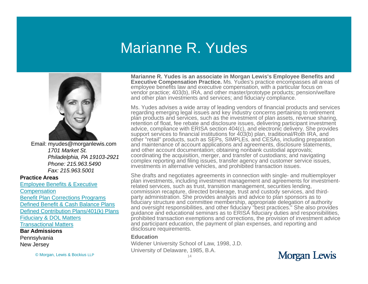### Marianne R. Yudes



Email: myudes@morganlewis.com *1701 Market St.Philadelphia, PA 19103-2921 Phone: 215.963.5490 Fax: 215.963.5001* 

#### **Practice Areas**

Employee Benefits & Executive **Compensation** Benefit Plan Corrections Programs Defined Benefit & Cash Balance PlansDefined Contribution Plans/401(k) Plans Fiduciary & DOL Matters Transactional Matters

#### **Bar Admissions**

**Pennsylvania** New Jersey

© Morgan, Lewis & Bockius LLP <sup>14</sup>

**Marianne R. Yudes is an associate in Morgan Lewis's Employee Benefits and Executive Compensation Practice.** Ms. Yudes's practice encompasses all areas of employee benefits law and executive compensation, with a particular focus on vendor practice; 403(b), IRA, and other master/prototype products; pension/welfare and other plan investments and services; and fiduciary compliance.

Ms. Yudes advises a wide array of leading vendors of financial products and services regarding emerging legal issues and key industry concerns pertaining to retirement plan products and services, such as the investment of plan assets, revenue sharing, retention of float, fee rebate and disclosure issues, delivering participant investment advice, compliance with ERISA section 404(c), and electronic delivery. She provides support services to financial institutions for  $\frac{\lambda}{3}$ (b) plan, traditional/Roth IRA, and other "retail" products, such as SEPs, SIMPLEs, and CESAs, including preparation and maintenance of account applications and agreements, disclosure statements, and other account documentation; obtaining nonbank custodial approvals; coordinating the acquisition, merger, and transfer of custodians; and navigating Philadelphia, PA 19103-2921 coordinating the acquisition, merger, and transfer of custodians; and navigating<br>Phone: 215,063,5400 complex reporting and filing issues, transfer agency and customer service issues, investments in alternative vehicles, and prohibited transaction issues.

> She drafts and negotiates agreements in connection with single- and multiemployer plan investments, including investment management and agreements for investmentrelated services, such as trust, transition management, securities lending, commission recapture, directed brokerage, trust and custody services, and thirdparty administration. She provides analysis and advice to plan sponsors as to fiduciary structure and committee membership, appropriate delegation of authority and oversight responsibilities, and other fiduciary "best practices." She also provides guidance and educational seminars as to ERISA fiduciary duties and responsibilities, prohibited transaction exemptions and corrections, the provision of investment advice and participant education, the payment of plan expenses, and reporting and disclosure requirements. q

#### **Education**

Widener University School of Law, 1998, J.D. University of Delaware, 1985, B.A.